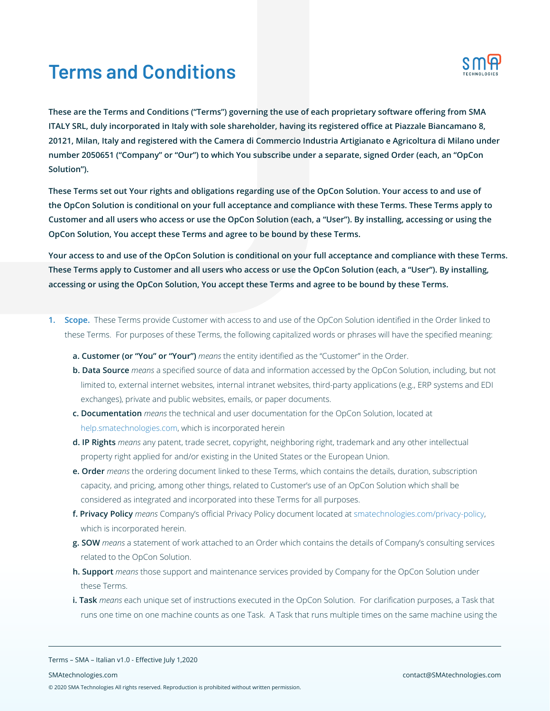# **Terms and Conditions**



**These are the Terms and Conditions ("Terms") governing the use of each proprietary software offering from SMA ITALY SRL, duly incorporated in Italy with sole shareholder, having its registered office at Piazzale Biancamano 8, 20121, Milan, Italy and registered with the Camera di Commercio Industria Artigianato e Agricoltura di Milano under number 2050651 ("Company" or "Our") to which You subscribe under a separate, signed Order (each, an "OpCon Solution").** 

**These Terms set out Your rights and obligations regarding use of the OpCon Solution. Your access to and use of the OpCon Solution is conditional on your full acceptance and compliance with these Terms. These Terms apply to Customer and all users who access or use the OpCon Solution (each, a "User"). By installing, accessing or using the OpCon Solution, You accept these Terms and agree to be bound by these Terms.**

**Your access to and use of the OpCon Solution is conditional on your full acceptance and compliance with these Terms. These Terms apply to Customer and all users who access or use the OpCon Solution (each, a "User"). By installing, accessing or using the OpCon Solution, You accept these Terms and agree to be bound by these Terms.**

- **1. Scope.** These Terms provide Customer with access to and use of the OpCon Solution identified in the Order linked to these Terms. For purposes of these Terms, the following capitalized words or phrases will have the specified meaning:
	- **a. Customer (or "You" or "Your")** *means* the entity identified as the "Customer" in the Order.
	- **b. Data Source** *means* a specified source of data and information accessed by the OpCon Solution, including, but not limited to, external internet websites, internal intranet websites, third-party applications (e.g., ERP systems and EDI exchanges), private and public websites, emails, or paper documents.
	- **c. Documentation** *means* the technical and user documentation for the OpCon Solution, located at help.smatechnologies.com, which is incorporated herein
	- **d. IP Rights** *means* any patent, trade secret, copyright, neighboring right, trademark and any other intellectual property right applied for and/or existing in the United States or the European Union.
	- **e. Order** *means* the ordering document linked to these Terms, which contains the details, duration, subscription capacity, and pricing, among other things, related to Customer's use of an OpCon Solution which shall be considered as integrated and incorporated into these Terms for all purposes.
	- **f. Privacy Policy** *means* Company's official Privacy Policy document located at smatechnologies.com/privacy-policy, which is incorporated herein.
	- **g. SOW** *means* a statement of work attached to an Order which contains the details of Company's consulting services related to the OpCon Solution.
	- **h. Support** *means* those support and maintenance services provided by Company for the OpCon Solution under these Terms.
	- **i. Task** *means* each unique set of instructions executed in the OpCon Solution. For clarification purposes, a Task that runs one time on one machine counts as one Task. A Task that runs multiple times on the same machine using the

Terms – SMA – Italian v1.0 - Effective July 1,2020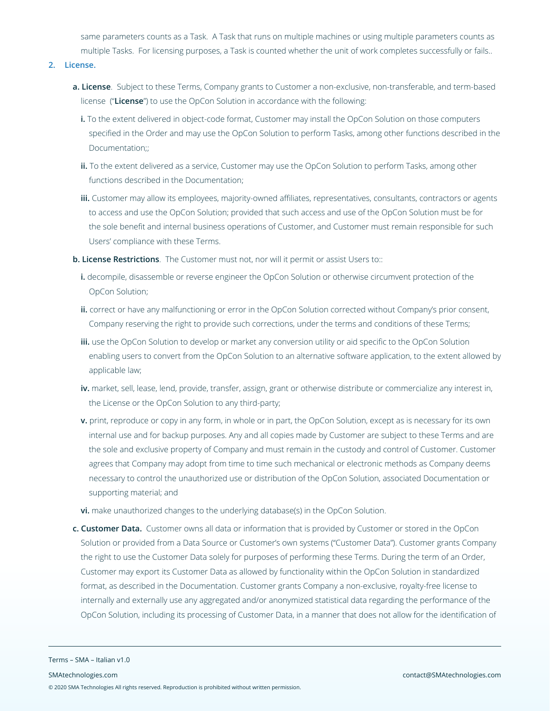same parameters counts as a Task. A Task that runs on multiple machines or using multiple parameters counts as multiple Tasks. For licensing purposes, a Task is counted whether the unit of work completes successfully or fails..

# **2. License.**

- **a. License**. Subject to these Terms, Company grants to Customer a non-exclusive, non-transferable, and term-based license ("**License**") to use the OpCon Solution in accordance with the following:
	- **i.** To the extent delivered in object-code format, Customer may install the OpCon Solution on those computers specified in the Order and may use the OpCon Solution to perform Tasks, among other functions described in the Documentation;;
	- **ii.** To the extent delivered as a service, Customer may use the OpCon Solution to perform Tasks, among other functions described in the Documentation;
	- **iii.** Customer may allow its employees, majority-owned affiliates, representatives, consultants, contractors or agents to access and use the OpCon Solution; provided that such access and use of the OpCon Solution must be for the sole benefit and internal business operations of Customer, and Customer must remain responsible for such Users' compliance with these Terms.
- **b. License Restrictions**. The Customer must not, nor will it permit or assist Users to::
	- **i.** decompile, disassemble or reverse engineer the OpCon Solution or otherwise circumvent protection of the OpCon Solution;
	- **ii.** correct or have any malfunctioning or error in the OpCon Solution corrected without Company's prior consent, Company reserving the right to provide such corrections, under the terms and conditions of these Terms;
	- **iii.** use the OpCon Solution to develop or market any conversion utility or aid specific to the OpCon Solution enabling users to convert from the OpCon Solution to an alternative software application, to the extent allowed by applicable law;
	- **iv.** market, sell, lease, lend, provide, transfer, assign, grant or otherwise distribute or commercialize any interest in, the License or the OpCon Solution to any third-party;
	- **v.** print, reproduce or copy in any form, in whole or in part, the OpCon Solution, except as is necessary for its own internal use and for backup purposes. Any and all copies made by Customer are subject to these Terms and are the sole and exclusive property of Company and must remain in the custody and control of Customer. Customer agrees that Company may adopt from time to time such mechanical or electronic methods as Company deems necessary to control the unauthorized use or distribution of the OpCon Solution, associated Documentation or supporting material; and
	- **vi.** make unauthorized changes to the underlying database(s) in the OpCon Solution.
- **c. Customer Data.** Customer owns all data or information that is provided by Customer or stored in the OpCon Solution or provided from a Data Source or Customer's own systems ("Customer Data"). Customer grants Company the right to use the Customer Data solely for purposes of performing these Terms. During the term of an Order, Customer may export its Customer Data as allowed by functionality within the OpCon Solution in standardized format, as described in the Documentation. Customer grants Company a non-exclusive, royalty-free license to internally and externally use any aggregated and/or anonymized statistical data regarding the performance of the OpCon Solution, including its processing of Customer Data, in a manner that does not allow for the identification of

Terms – SMA – Italian v1.0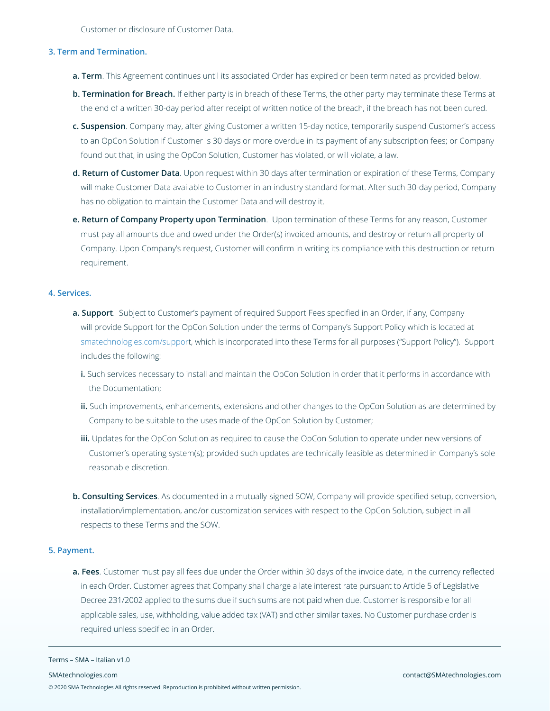Customer or disclosure of Customer Data.

#### **3. Term and Termination.**

- **a. Term**. This Agreement continues until its associated Order has expired or been terminated as provided below.
- **b. Termination for Breach.** If either party is in breach of these Terms, the other party may terminate these Terms at the end of a written 30-day period after receipt of written notice of the breach, if the breach has not been cured.
- **c. Suspension**. Company may, after giving Customer a written 15-day notice, temporarily suspend Customer's access to an OpCon Solution if Customer is 30 days or more overdue in its payment of any subscription fees; or Company found out that, in using the OpCon Solution, Customer has violated, or will violate, a law.
- **d. Return of Customer Data**. Upon request within 30 days after termination or expiration of these Terms, Company will make Customer Data available to Customer in an industry standard format. After such 30-day period, Company has no obligation to maintain the Customer Data and will destroy it.
- **e. Return of Company Property upon Termination**. Upon termination of these Terms for any reason, Customer must pay all amounts due and owed under the Order(s) invoiced amounts, and destroy or return all property of Company. Upon Company's request, Customer will confirm in writing its compliance with this destruction or return requirement.

#### **4. Services.**

- **a. Support**. Subject to Customer's payment of required Support Fees specified in an Order, if any, Company will provide Support for the OpCon Solution under the terms of Company's Support Policy which is located at smatechnologies.com/support, which is incorporated into these Terms for all purposes ("Support Policy"). Support includes the following:
	- **i.** Such services necessary to install and maintain the OpCon Solution in order that it performs in accordance with the Documentation;
	- **ii.** Such improvements, enhancements, extensions and other changes to the OpCon Solution as are determined by Company to be suitable to the uses made of the OpCon Solution by Customer;
	- **iii.** Updates for the OpCon Solution as required to cause the OpCon Solution to operate under new versions of Customer's operating system(s); provided such updates are technically feasible as determined in Company's sole reasonable discretion.
- **b. Consulting Services**. As documented in a mutually-signed SOW, Company will provide specified setup, conversion, installation/implementation, and/or customization services with respect to the OpCon Solution, subject in all respects to these Terms and the SOW.

#### **5. Payment.**

**a. Fees**. Customer must pay all fees due under the Order within 30 days of the invoice date, in the currency reflected in each Order. Customer agrees that Company shall charge a late interest rate pursuant to Article 5 of Legislative Decree 231/2002 applied to the sums due if such sums are not paid when due. Customer is responsible for all applicable sales, use, withholding, value added tax (VAT) and other similar taxes. No Customer purchase order is required unless specified in an Order.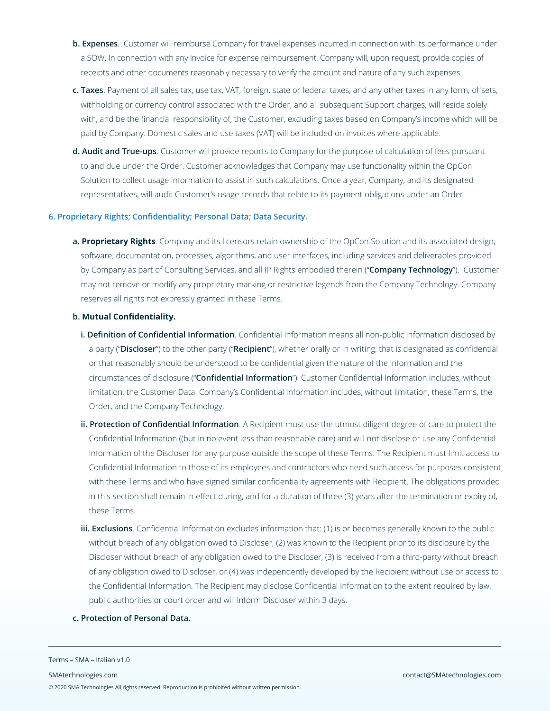- **b. Expenses**. Customer will reimburse Company for travel expenses incurred in connection with its performance under a SOW. In connection with any invoice for expense reimbursement, Company will, upon request, provide copies of receipts and other documents reasonably necessary to verify the amount and nature of any such expenses.
- **c. Taxes**. Payment of all sales tax, use tax, VAT, foreign, state or federal taxes, and any other taxes in any form, offsets, withholding or currency control associated with the Order, and all subsequent Support charges, will reside solely with, and be the financial responsibility of, the Customer, excluding taxes based on Company's income which will be paid by Company. Domestic sales and use taxes (VAT) will be included on invoices where applicable.
- **d. Audit and True-ups**. Customer will provide reports to Company for the purpose of calculation of fees pursuant to and due under the Order. Customer acknowledges that Company may use functionality within the OpCon Solution to collect usage information to assist in such calculations. Once a year, Company, and its designated representatives, will audit Customer's usage records that relate to its payment obligations under an Order.

# **6. Proprietary Rights; Confidentiality; Personal Data; Data Security.**

**a. Proprietary Rights**. Company and its licensors retain ownership of the OpCon Solution and its associated design, software, documentation, processes, algorithms, and user interfaces, including services and deliverables provided by Company as part of Consulting Services, and all IP Rights embodied therein ("**Company Technology**"). Customer may not remove or modify any proprietary marking or restrictive legends from the Company Technology. Company reserves all rights not expressly granted in these Terms.

# **b. Mutual Confidentiality.**

- **i. Definition of Confidential Information**. Confidential Information means all non-public information disclosed by a party ("**Discloser**") to the other party ("**Recipient**"), whether orally or in writing, that is designated as confidential or that reasonably should be understood to be confidential given the nature of the information and the circumstances of disclosure ("**Confidential Information**"). Customer Confidential Information includes, without limitation, the Customer Data. Company's Confidential Information includes, without limitation, these Terms, the Order, and the Company Technology.
- **ii. Protection of Confidential Information**. A Recipient must use the utmost diligent degree of care to protect the Confidential Information ((but in no event less than reasonable care) and will not disclose or use any Confidential Information of the Discloser for any purpose outside the scope of these Terms. The Recipient must limit access to Confidential Information to those of its employees and contractors who need such access for purposes consistent with these Terms and who have signed similar confidentiality agreements with Recipient. The obligations provided in this section shall remain in effect during, and for a duration of three (3) years after the termination or expiry of, these Terms.
- **iii. Exclusions**. Confidential Information excludes information that: (1) is or becomes generally known to the public without breach of any obligation owed to Discloser, (2) was known to the Recipient prior to its disclosure by the Discloser without breach of any obligation owed to the Discloser, (3) is received from a third-party without breach of any obligation owed to Discloser, or (4) was independently developed by the Recipient without use or access to the Confidential Information. The Recipient may disclose Confidential Information to the extent required by law, public authorities or court order and will inform Discloser within 3 days.
- **c. Protection of Personal Data.**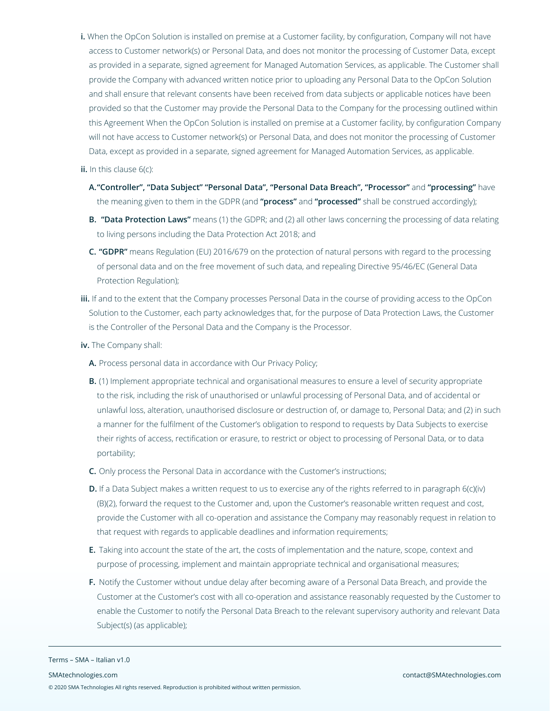**i.** When the OpCon Solution is installed on premise at a Customer facility, by configuration, Company will not have access to Customer network(s) or Personal Data, and does not monitor the processing of Customer Data, except as provided in a separate, signed agreement for Managed Automation Services, as applicable. The Customer shall provide the Company with advanced written notice prior to uploading any Personal Data to the OpCon Solution and shall ensure that relevant consents have been received from data subjects or applicable notices have been provided so that the Customer may provide the Personal Data to the Company for the processing outlined within this Agreement When the OpCon Solution is installed on premise at a Customer facility, by configuration Company will not have access to Customer network(s) or Personal Data, and does not monitor the processing of Customer Data, except as provided in a separate, signed agreement for Managed Automation Services, as applicable.

# **ii.** In this clause 6(c):

- **A."Controller", "Data Subject" "Personal Data", "Personal Data Breach", "Processor"** and **"processing"** have the meaning given to them in the GDPR (and **"process"** and **"processed"** shall be construed accordingly);
- **B. "Data Protection Laws"** means (1) the GDPR; and (2) all other laws concerning the processing of data relating to living persons including the Data Protection Act 2018; and
- **C. "GDPR"** means Regulation (EU) 2016/679 on the protection of natural persons with regard to the processing of personal data and on the free movement of such data, and repealing Directive 95/46/EC (General Data Protection Regulation);
- **iii.** If and to the extent that the Company processes Personal Data in the course of providing access to the OpCon Solution to the Customer, each party acknowledges that, for the purpose of Data Protection Laws, the Customer is the Controller of the Personal Data and the Company is the Processor.
- **iv.** The Company shall:
	- **A.** Process personal data in accordance with Our Privacy Policy;
	- **B.** (1) Implement appropriate technical and organisational measures to ensure a level of security appropriate to the risk, including the risk of unauthorised or unlawful processing of Personal Data, and of accidental or unlawful loss, alteration, unauthorised disclosure or destruction of, or damage to, Personal Data; and (2) in such a manner for the fulfilment of the Customer's obligation to respond to requests by Data Subjects to exercise their rights of access, rectification or erasure, to restrict or object to processing of Personal Data, or to data portability;
	- **C.** Only process the Personal Data in accordance with the Customer's instructions;
	- **D.** If a Data Subject makes a written request to us to exercise any of the rights referred to in paragraph 6(c)(iv) (B)(2), forward the request to the Customer and, upon the Customer's reasonable written request and cost, provide the Customer with all co-operation and assistance the Company may reasonably request in relation to that request with regards to applicable deadlines and information requirements;
	- **E.** Taking into account the state of the art, the costs of implementation and the nature, scope, context and purpose of processing, implement and maintain appropriate technical and organisational measures;
	- **F.** Notify the Customer without undue delay after becoming aware of a Personal Data Breach, and provide the Customer at the Customer's cost with all co-operation and assistance reasonably requested by the Customer to enable the Customer to notify the Personal Data Breach to the relevant supervisory authority and relevant Data Subject(s) (as applicable);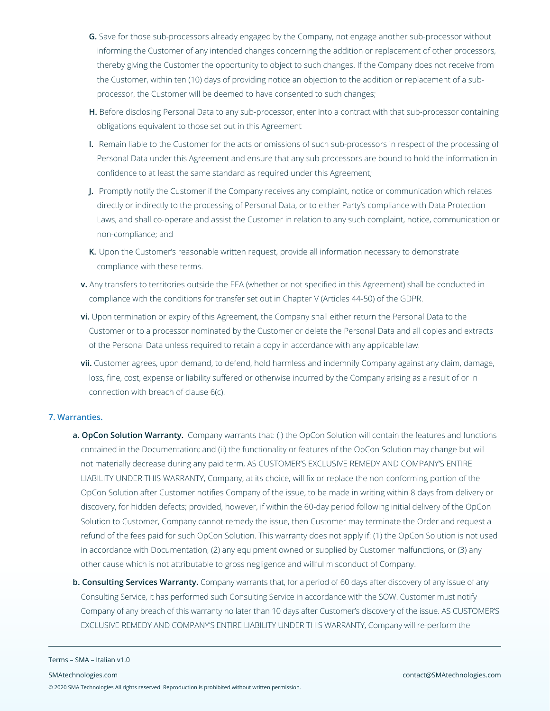- **G.** Save for those sub-processors already engaged by the Company, not engage another sub-processor without informing the Customer of any intended changes concerning the addition or replacement of other processors, thereby giving the Customer the opportunity to object to such changes. If the Company does not receive from the Customer, within ten (10) days of providing notice an objection to the addition or replacement of a subprocessor, the Customer will be deemed to have consented to such changes;
- **H.** Before disclosing Personal Data to any sub-processor, enter into a contract with that sub-processor containing obligations equivalent to those set out in this Agreement
- **I.** Remain liable to the Customer for the acts or omissions of such sub-processors in respect of the processing of Personal Data under this Agreement and ensure that any sub-processors are bound to hold the information in confidence to at least the same standard as required under this Agreement;
- **J.** Promptly notify the Customer if the Company receives any complaint, notice or communication which relates directly or indirectly to the processing of Personal Data, or to either Party's compliance with Data Protection Laws, and shall co-operate and assist the Customer in relation to any such complaint, notice, communication or non-compliance; and
- **K.** Upon the Customer's reasonable written request, provide all information necessary to demonstrate compliance with these terms.
- **v.** Any transfers to territories outside the EEA (whether or not specified in this Agreement) shall be conducted in compliance with the conditions for transfer set out in Chapter V (Articles 44-50) of the GDPR.
- **vi.** Upon termination or expiry of this Agreement, the Company shall either return the Personal Data to the Customer or to a processor nominated by the Customer or delete the Personal Data and all copies and extracts of the Personal Data unless required to retain a copy in accordance with any applicable law.
- **vii.** Customer agrees, upon demand, to defend, hold harmless and indemnify Company against any claim, damage, loss, fine, cost, expense or liability suffered or otherwise incurred by the Company arising as a result of or in connection with breach of clause 6(c).

# **7. Warranties.**

Terms – SMA – Italian v1.0

- **a. OpCon Solution Warranty.** Company warrants that: (i) the OpCon Solution will contain the features and functions contained in the Documentation; and (ii) the functionality or features of the OpCon Solution may change but will not materially decrease during any paid term, AS CUSTOMER'S EXCLUSIVE REMEDY AND COMPANY'S ENTIRE LIABILITY UNDER THIS WARRANTY, Company, at its choice, will fix or replace the non-conforming portion of the OpCon Solution after Customer notifies Company of the issue, to be made in writing within 8 days from delivery or discovery, for hidden defects; provided, however, if within the 60-day period following initial delivery of the OpCon Solution to Customer, Company cannot remedy the issue, then Customer may terminate the Order and request a refund of the fees paid for such OpCon Solution. This warranty does not apply if: (1) the OpCon Solution is not used in accordance with Documentation, (2) any equipment owned or supplied by Customer malfunctions, or (3) any other cause which is not attributable to gross negligence and willful misconduct of Company.
- **b. Consulting Services Warranty.** Company warrants that, for a period of 60 days after discovery of any issue of any Consulting Service, it has performed such Consulting Service in accordance with the SOW. Customer must notify Company of any breach of this warranty no later than 10 days after Customer's discovery of the issue. AS CUSTOMER'S EXCLUSIVE REMEDY AND COMPANY'S ENTIRE LIABILITY UNDER THIS WARRANTY, Company will re-perform the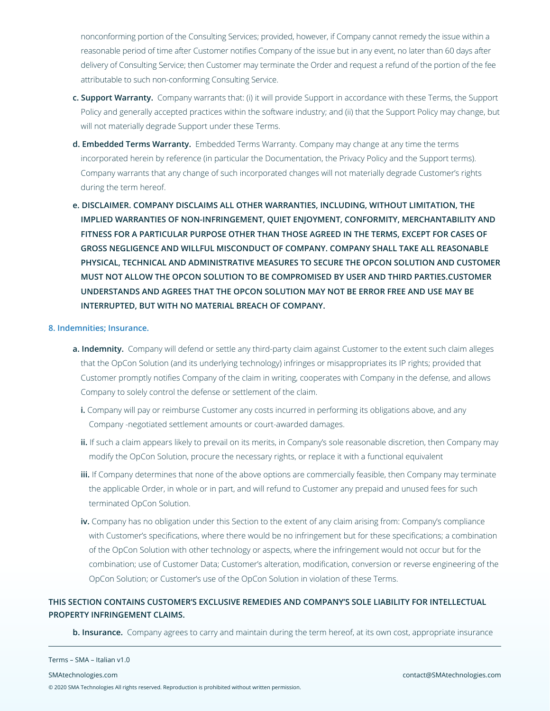nonconforming portion of the Consulting Services; provided, however, if Company cannot remedy the issue within a reasonable period of time after Customer notifies Company of the issue but in any event, no later than 60 days after delivery of Consulting Service; then Customer may terminate the Order and request a refund of the portion of the fee attributable to such non-conforming Consulting Service.

- **c. Support Warranty.** Company warrants that: (i) it will provide Support in accordance with these Terms, the Support Policy and generally accepted practices within the software industry; and (ii) that the Support Policy may change, but will not materially degrade Support under these Terms.
- **d. Embedded Terms Warranty.** Embedded Terms Warranty. Company may change at any time the terms incorporated herein by reference (in particular the Documentation, the Privacy Policy and the Support terms). Company warrants that any change of such incorporated changes will not materially degrade Customer's rights during the term hereof.
- **e. DISCLAIMER. COMPANY DISCLAIMS ALL OTHER WARRANTIES, INCLUDING, WITHOUT LIMITATION, THE IMPLIED WARRANTIES OF NON-INFRINGEMENT, QUIET ENJOYMENT, CONFORMITY, MERCHANTABILITY AND FITNESS FOR A PARTICULAR PURPOSE OTHER THAN THOSE AGREED IN THE TERMS, EXCEPT FOR CASES OF GROSS NEGLIGENCE AND WILLFUL MISCONDUCT OF COMPANY. COMPANY SHALL TAKE ALL REASONABLE PHYSICAL, TECHNICAL AND ADMINISTRATIVE MEASURES TO SECURE THE OPCON SOLUTION AND CUSTOMER MUST NOT ALLOW THE OPCON SOLUTION TO BE COMPROMISED BY USER AND THIRD PARTIES.CUSTOMER UNDERSTANDS AND AGREES THAT THE OPCON SOLUTION MAY NOT BE ERROR FREE AND USE MAY BE INTERRUPTED, BUT WITH NO MATERIAL BREACH OF COMPANY.**

# **8. Indemnities; Insurance.**

- **a. Indemnity.** Company will defend or settle any third-party claim against Customer to the extent such claim alleges that the OpCon Solution (and its underlying technology) infringes or misappropriates its IP rights; provided that Customer promptly notifies Company of the claim in writing, cooperates with Company in the defense, and allows Company to solely control the defense or settlement of the claim.
	- **i.** Company will pay or reimburse Customer any costs incurred in performing its obligations above, and any Company -negotiated settlement amounts or court-awarded damages.
	- **ii.** If such a claim appears likely to prevail on its merits, in Company's sole reasonable discretion, then Company may modify the OpCon Solution, procure the necessary rights, or replace it with a functional equivalent
	- **iii.** If Company determines that none of the above options are commercially feasible, then Company may terminate the applicable Order, in whole or in part, and will refund to Customer any prepaid and unused fees for such terminated OpCon Solution.
	- **iv.** Company has no obligation under this Section to the extent of any claim arising from: Company's compliance with Customer's specifications, where there would be no infringement but for these specifications; a combination of the OpCon Solution with other technology or aspects, where the infringement would not occur but for the combination; use of Customer Data; Customer's alteration, modification, conversion or reverse engineering of the OpCon Solution; or Customer's use of the OpCon Solution in violation of these Terms.

# **THIS SECTION CONTAINS CUSTOMER'S EXCLUSIVE REMEDIES AND COMPANY'S SOLE LIABILITY FOR INTELLECTUAL PROPERTY INFRINGEMENT CLAIMS.**

**b. Insurance.** Company agrees to carry and maintain during the term hereof, at its own cost, appropriate insurance

#### Terms – SMA – Italian v1.0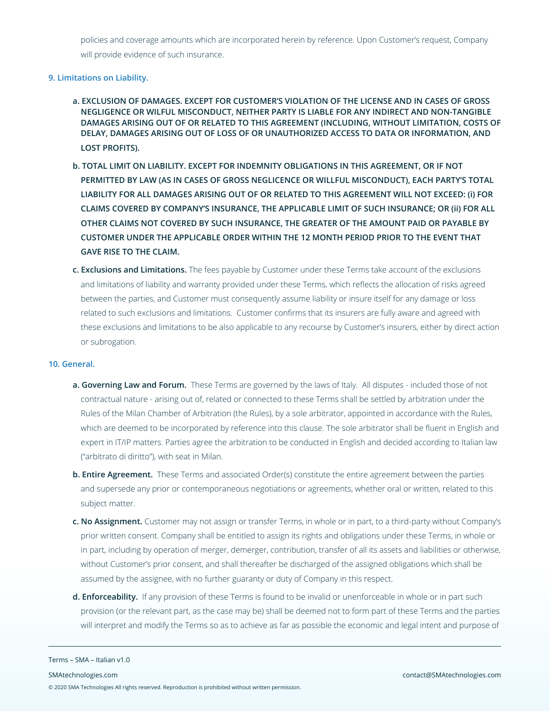policies and coverage amounts which are incorporated herein by reference. Upon Customer's request, Company will provide evidence of such insurance.

## **9. Limitations on Liability.**

- **a. EXCLUSION OF DAMAGES. EXCEPT FOR CUSTOMER'S VIOLATION OF THE LICENSE AND IN CASES OF GROSS NEGLIGENCE OR WILFUL MISCONDUCT, NEITHER PARTY IS LIABLE FOR ANY INDIRECT AND NON-TANGIBLE DAMAGES ARISING OUT OF OR RELATED TO THIS AGREEMENT (INCLUDING, WITHOUT LIMITATION, COSTS OF DELAY, DAMAGES ARISING OUT OF LOSS OF OR UNAUTHORIZED ACCESS TO DATA OR INFORMATION, AND LOST PROFITS).**
- **b. TOTAL LIMIT ON LIABILITY. EXCEPT FOR INDEMNITY OBLIGATIONS IN THIS AGREEMENT, OR IF NOT PERMITTED BY LAW (AS IN CASES OF GROSS NEGLICENCE OR WILLFUL MISCONDUCT), EACH PARTY'S TOTAL LIABILITY FOR ALL DAMAGES ARISING OUT OF OR RELATED TO THIS AGREEMENT WILL NOT EXCEED: (i) FOR CLAIMS COVERED BY COMPANY'S INSURANCE, THE APPLICABLE LIMIT OF SUCH INSURANCE; OR (ii) FOR ALL OTHER CLAIMS NOT COVERED BY SUCH INSURANCE, THE GREATER OF THE AMOUNT PAID OR PAYABLE BY CUSTOMER UNDER THE APPLICABLE ORDER WITHIN THE 12 MONTH PERIOD PRIOR TO THE EVENT THAT GAVE RISE TO THE CLAIM.**
- **c. Exclusions and Limitations.** The fees payable by Customer under these Terms take account of the exclusions and limitations of liability and warranty provided under these Terms, which reflects the allocation of risks agreed between the parties, and Customer must consequently assume liability or insure itself for any damage or loss related to such exclusions and limitations. Customer confirms that its insurers are fully aware and agreed with these exclusions and limitations to be also applicable to any recourse by Customer's insurers, either by direct action or subrogation.

#### **10. General.**

- **a. Governing Law and Forum.** These Terms are governed by the laws of Italy. All disputes included those of not contractual nature - arising out of, related or connected to these Terms shall be settled by arbitration under the Rules of the Milan Chamber of Arbitration (the Rules), by a sole arbitrator, appointed in accordance with the Rules, which are deemed to be incorporated by reference into this clause. The sole arbitrator shall be fluent in English and expert in IT/IP matters. Parties agree the arbitration to be conducted in English and decided according to Italian law ("arbitrato di diritto"), with seat in Milan.
- **b. Entire Agreement.** These Terms and associated Order(s) constitute the entire agreement between the parties and supersede any prior or contemporaneous negotiations or agreements, whether oral or written, related to this subject matter.
- **c. No Assignment.** Customer may not assign or transfer Terms, in whole or in part, to a third-party without Company's prior written consent. Company shall be entitled to assign its rights and obligations under these Terms, in whole or in part, including by operation of merger, demerger, contribution, transfer of all its assets and liabilities or otherwise, without Customer's prior consent, and shall thereafter be discharged of the assigned obligations which shall be assumed by the assignee, with no further guaranty or duty of Company in this respect.
- **d. Enforceability.** If any provision of these Terms is found to be invalid or unenforceable in whole or in part such provision (or the relevant part, as the case may be) shall be deemed not to form part of these Terms and the parties will interpret and modify the Terms so as to achieve as far as possible the economic and legal intent and purpose of